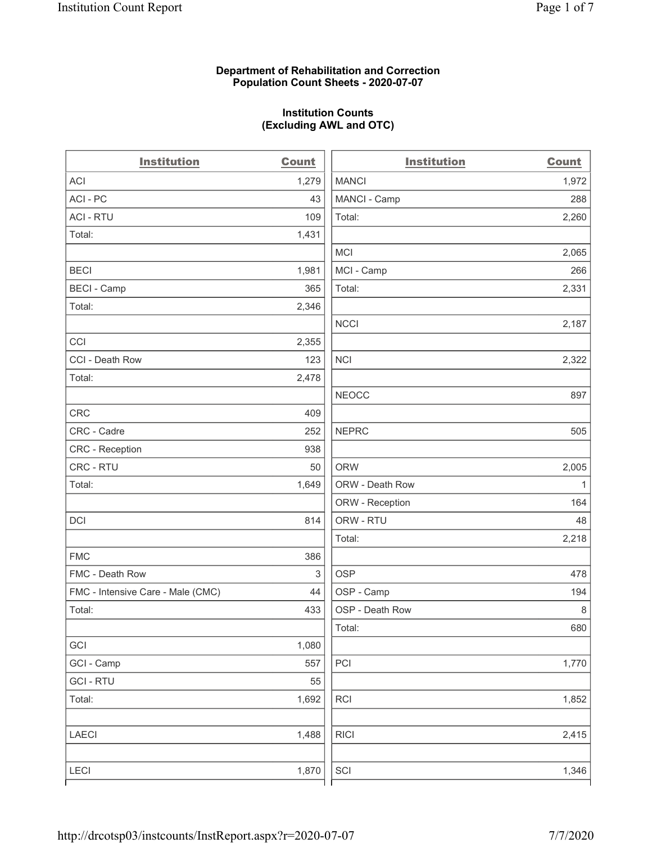#### Department of Rehabilitation and Correction Population Count Sheets - 2020-07-07

# Institution Counts (Excluding AWL and OTC)

 $\overline{a}$ 

| <b>Institution</b>                | Count | <b>Institution</b> | <b>Count</b> |
|-----------------------------------|-------|--------------------|--------------|
| <b>ACI</b>                        | 1,279 | <b>MANCI</b>       | 1,972        |
| ACI-PC                            | 43    | MANCI - Camp       | 288          |
| <b>ACI - RTU</b>                  | 109   | Total:             | 2,260        |
| Total:                            | 1,431 |                    |              |
|                                   |       | <b>MCI</b>         | 2,065        |
| <b>BECI</b>                       | 1,981 | MCI - Camp         | 266          |
| <b>BECI - Camp</b>                | 365   | Total:             | 2,331        |
| Total:                            | 2,346 |                    |              |
|                                   |       | <b>NCCI</b>        | 2,187        |
| CCI                               | 2,355 |                    |              |
| CCI - Death Row                   | 123   | <b>NCI</b>         | 2,322        |
| Total:                            | 2,478 |                    |              |
|                                   |       | <b>NEOCC</b>       | 897          |
| <b>CRC</b>                        | 409   |                    |              |
| CRC - Cadre                       | 252   | <b>NEPRC</b>       | 505          |
| CRC - Reception                   | 938   |                    |              |
| CRC - RTU                         | 50    | <b>ORW</b>         | 2,005        |
| Total:                            | 1,649 | ORW - Death Row    | $\mathbf{1}$ |
|                                   |       | ORW - Reception    | 164          |
| DCI                               | 814   | ORW - RTU          | 48           |
|                                   |       | Total:             | 2,218        |
| <b>FMC</b>                        | 386   |                    |              |
| FMC - Death Row                   | 3     | <b>OSP</b>         | 478          |
| FMC - Intensive Care - Male (CMC) | 44    | OSP - Camp         | 194          |
| Total:                            | 433   | OSP - Death Row    | 8            |
|                                   |       | Total:             | 680          |
| GCI                               | 1,080 |                    |              |
| GCI - Camp                        | 557   | PCI                | 1,770        |
| <b>GCI-RTU</b>                    | 55    |                    |              |
| Total:                            | 1,692 | $\sf RCI$          | 1,852        |
| LAECI                             | 1,488 | <b>RICI</b>        | 2,415        |
| LECI                              | 1,870 | SCI                | 1,346        |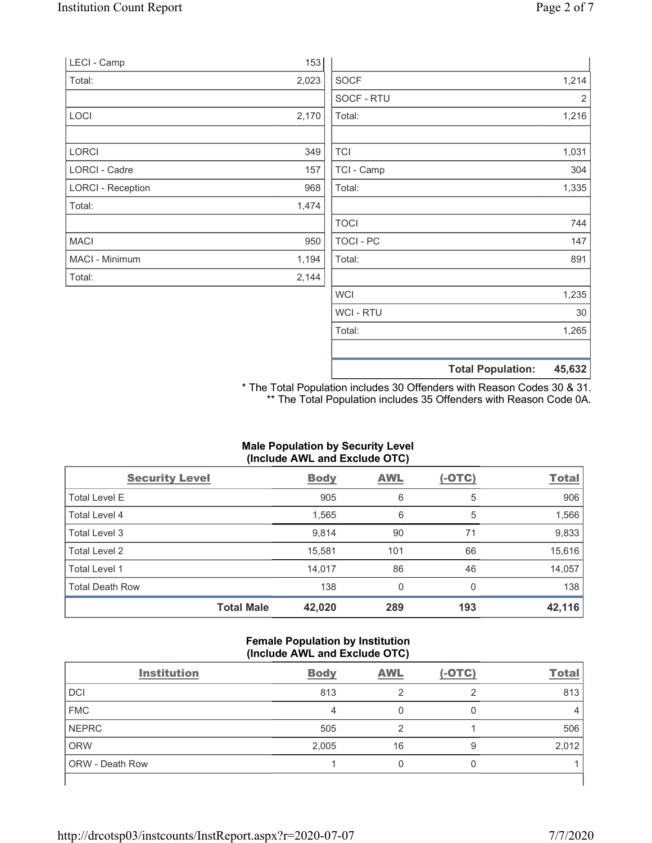| 1,265<br>Total:               |
|-------------------------------|
| WCI - RTU<br>30               |
| 1,235<br><b>WCI</b>           |
| 2,144                         |
| 1,194<br>Total:<br>891        |
| TOCI - PC<br>147<br>950       |
| <b>TOCI</b><br>744            |
| 1,474                         |
| Total:<br>1,335<br>968        |
| TCI - Camp<br>304<br>157      |
| <b>TCI</b><br>1,031<br>349    |
| 1,216<br>Total:               |
| SOCF - RTU<br>2               |
| 2,023<br><b>SOCF</b><br>1,214 |
| 153                           |
| 2,170                         |

\* The Total Population includes 30 Offenders with Reason Codes 30 & 31.

\*\* The Total Population includes 35 Offenders with Reason Code 0A.

# Male Population by Security Level (Include AWL and Exclude OTC)

| <b>Security Level</b>  | <b>Body</b> | <b>AWL</b> | $(-OTC)$ | <b>Total</b> |
|------------------------|-------------|------------|----------|--------------|
| <b>Total Level E</b>   | 905         | 6          | 5        | 906          |
| Total Level 4          | 1,565       | 6          | 5        | 1,566        |
| Total Level 3          | 9,814       | 90         | 71       | 9,833        |
| Total Level 2          | 15,581      | 101        | 66       | 15,616       |
| Total Level 1          | 14,017      | 86         | 46       | 14,057       |
| <b>Total Death Row</b> | 138         | 0          | 0        | 138          |
| <b>Total Male</b>      | 42,020      | 289        | 193      | 42,116       |

#### Female Population by Institution (Include AWL and Exclude OTC)

| <b>Institution</b> | <b>Body</b> | <b>AWL</b> | $(-OTC)$ | <b>Total</b> |
|--------------------|-------------|------------|----------|--------------|
| DCI                | 813         |            | ◠        | 813          |
| <b>FMC</b>         | 4           |            |          |              |
| NEPRC              | 505         |            |          | 506          |
| ORW                | 2,005       | 16         | 9        | 2,012        |
| ORW - Death Row    |             |            |          |              |
|                    |             |            |          |              |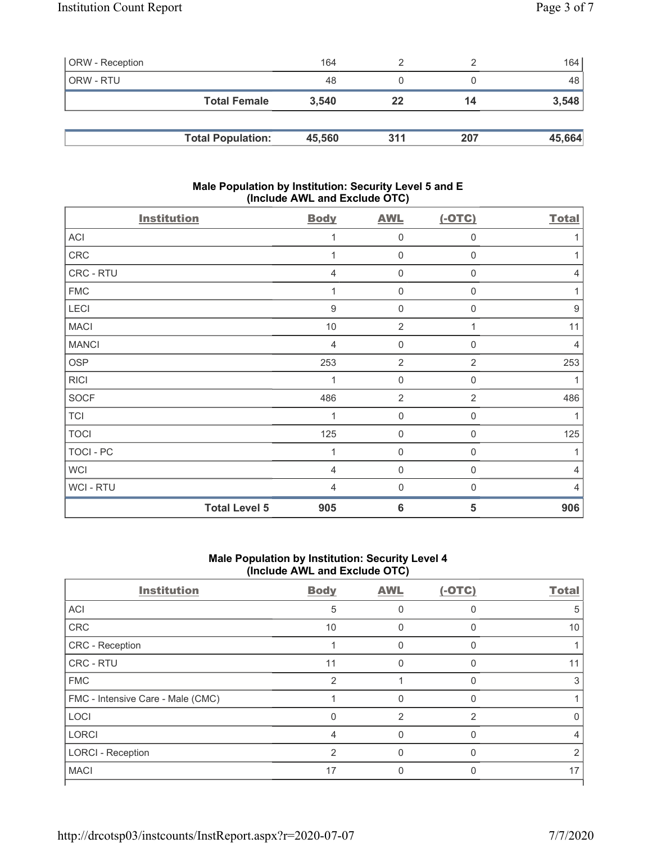| ORW - Reception |                          | 164    |     |     | 164    |
|-----------------|--------------------------|--------|-----|-----|--------|
| ORW - RTU       |                          | 48     |     |     | 48     |
|                 | <b>Total Female</b>      | 3.540  | 22  | 14  | 3,548  |
|                 |                          |        |     |     |        |
|                 | <b>Total Population:</b> | 45,560 | 311 | 207 | 45,664 |

#### Male Population by Institution: Security Level 5 and E (Include AWL and Exclude OTC)

| <b>Institution</b>   | <b>Body</b>    | <b>AWL</b>          | $(-OTC)$         | <b>Total</b> |
|----------------------|----------------|---------------------|------------------|--------------|
| ACI                  | 1              | 0                   | $\mathbf 0$      |              |
| ${\sf CRC}$          | 1              | $\mathsf{O}\xspace$ | $\mathsf 0$      |              |
| CRC - RTU            | 4              | $\mathsf{O}\xspace$ | $\boldsymbol{0}$ | 4            |
| <b>FMC</b>           | 1              | 0                   | $\boldsymbol{0}$ |              |
| LECI                 | $\overline{9}$ | $\mathsf{O}\xspace$ | $\mathbf 0$      | 9            |
| <b>MACI</b>          | 10             | $\sqrt{2}$          | 1                | 11           |
| <b>MANCI</b>         | 4              | 0                   | 0                | 4            |
| <b>OSP</b>           | 253            | $\overline{2}$      | $\overline{2}$   | 253          |
| <b>RICI</b>          | 1              | 0                   | $\mathbf 0$      |              |
| <b>SOCF</b>          | 486            | $\overline{2}$      | $\overline{2}$   | 486          |
| <b>TCI</b>           | 1              | $\boldsymbol{0}$    | $\boldsymbol{0}$ |              |
| <b>TOCI</b>          | 125            | $\mathsf{O}\xspace$ | $\boldsymbol{0}$ | 125          |
| TOCI - PC            | 1              | $\mathsf{O}\xspace$ | $\mathbf 0$      |              |
| <b>WCI</b>           | $\overline{4}$ | 0                   | 0                | 4            |
| WCI - RTU            | $\overline{4}$ | $\mathbf 0$         | $\mathbf 0$      |              |
| <b>Total Level 5</b> | 905            | $6\phantom{1}6$     | 5                | 906          |

#### Male Population by Institution: Security Level 4 (Include AWL and Exclude OTC)

| <b>Institution</b>                | <b>Body</b>    | <b>AWL</b> | $(-OTC)$ | <b>Total</b> |
|-----------------------------------|----------------|------------|----------|--------------|
| ACI                               | 5              |            |          | 5            |
| <b>CRC</b>                        | 10             |            |          | 10           |
| CRC - Reception                   |                | 0          | 0        |              |
| CRC - RTU                         | 11             |            | U        | 11           |
| <b>FMC</b>                        | $\overline{2}$ |            | U        |              |
| FMC - Intensive Care - Male (CMC) |                |            |          |              |
| LOCI                              | 0              | 2          | っ        |              |
| <b>LORCI</b>                      | 4              | 0          | $\Omega$ | 4            |
| <b>LORCI - Reception</b>          | 2              |            | U        |              |
| <b>MACI</b>                       | 17             |            |          | 17           |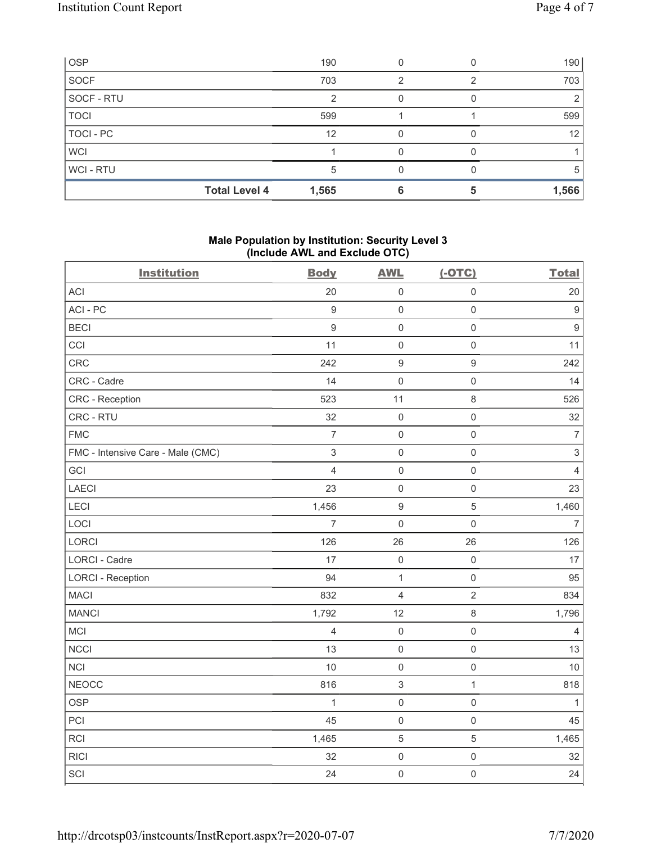| <b>OSP</b>           | 190   |  | 190   |
|----------------------|-------|--|-------|
| <b>SOCF</b>          | 703   |  | 703   |
| SOCF - RTU           |       |  |       |
| <b>TOCI</b>          | 599   |  | 599   |
| TOCI-PC              | 12    |  | 12    |
| <b>WCI</b>           |       |  |       |
| WCI-RTU              |       |  |       |
| <b>Total Level 4</b> | 1,565 |  | 1,566 |

### Male Population by Institution: Security Level 3 (Include AWL and Exclude OTC)

|                                   |                           | ,                         |                     | <b>Total</b>              |
|-----------------------------------|---------------------------|---------------------------|---------------------|---------------------------|
| <b>Institution</b>                | <b>Body</b>               | <b>AWL</b>                | $(-OTC)$            |                           |
| <b>ACI</b>                        | 20                        | $\mathsf 0$               | $\mathbf 0$         | 20                        |
| ACI-PC                            | $\overline{9}$            | $\mathsf{O}\xspace$       | $\mathbf 0$         | $\boldsymbol{9}$          |
| <b>BECI</b>                       | $\boldsymbol{9}$          | $\mathsf{O}\xspace$       | $\mathbf 0$         | $\overline{9}$            |
| CCI                               | 11                        | $\mathsf{O}\xspace$       | $\mbox{O}$          | 11                        |
| CRC                               | 242                       | $\boldsymbol{9}$          | $\boldsymbol{9}$    | 242                       |
| CRC - Cadre                       | 14                        | $\mathsf{O}\xspace$       | $\mathbf 0$         | 14                        |
| CRC - Reception                   | 523                       | 11                        | $\,8\,$             | 526                       |
| CRC - RTU                         | 32                        | $\mathsf{O}\xspace$       | $\mathbf 0$         | 32                        |
| <b>FMC</b>                        | $\boldsymbol{7}$          | $\mathsf{O}\xspace$       | $\mathbf 0$         | $\overline{\mathcal{I}}$  |
| FMC - Intensive Care - Male (CMC) | $\ensuremath{\mathsf{3}}$ | $\mathsf 0$               | $\mathbf 0$         | $\ensuremath{\mathsf{3}}$ |
| GCI                               | $\overline{4}$            | $\mathbf 0$               | $\mathbf 0$         | $\overline{4}$            |
| <b>LAECI</b>                      | 23                        | $\mathsf{O}\xspace$       | $\mathbf 0$         | 23                        |
| LECI                              | 1,456                     | $\boldsymbol{9}$          | $\sqrt{5}$          | 1,460                     |
| LOCI                              | $\overline{7}$            | $\mathbf 0$               | $\mathbf 0$         | $\overline{7}$            |
| LORCI                             | 126                       | 26                        | 26                  | 126                       |
| <b>LORCI - Cadre</b>              | 17                        | $\mathbf 0$               | $\mathbf 0$         | 17                        |
| <b>LORCI - Reception</b>          | 94                        | $\mathbf{1}$              | $\mathbf 0$         | 95                        |
| <b>MACI</b>                       | 832                       | $\overline{4}$            | $\overline{2}$      | 834                       |
| <b>MANCI</b>                      | 1,792                     | 12                        | $\,8\,$             | 1,796                     |
| MCI                               | $\overline{4}$            | $\mathsf{O}\xspace$       | $\mathbf 0$         | $\overline{4}$            |
| <b>NCCI</b>                       | 13                        | $\mathsf{O}\xspace$       | $\mathbf 0$         | 13                        |
| <b>NCI</b>                        | 10                        | $\mathsf{O}\xspace$       | $\mathbf 0$         | 10                        |
| <b>NEOCC</b>                      | 816                       | $\ensuremath{\mathsf{3}}$ | $\mathbf{1}$        | 818                       |
| <b>OSP</b>                        | $\mathbf{1}$              | $\mathbf 0$               | $\mathsf{O}\xspace$ | $\mathbf{1}$              |
| PCI                               | 45                        | $\mathsf{O}\xspace$       | $\mathbf 0$         | 45                        |
| <b>RCI</b>                        | 1,465                     | $\mathbf 5$               | 5                   | 1,465                     |
| <b>RICI</b>                       | 32                        | $\mathsf{O}\xspace$       | $\mathbf 0$         | 32                        |
| SCI                               | 24                        | $\mathsf{O}\xspace$       | $\mathbf 0$         | 24                        |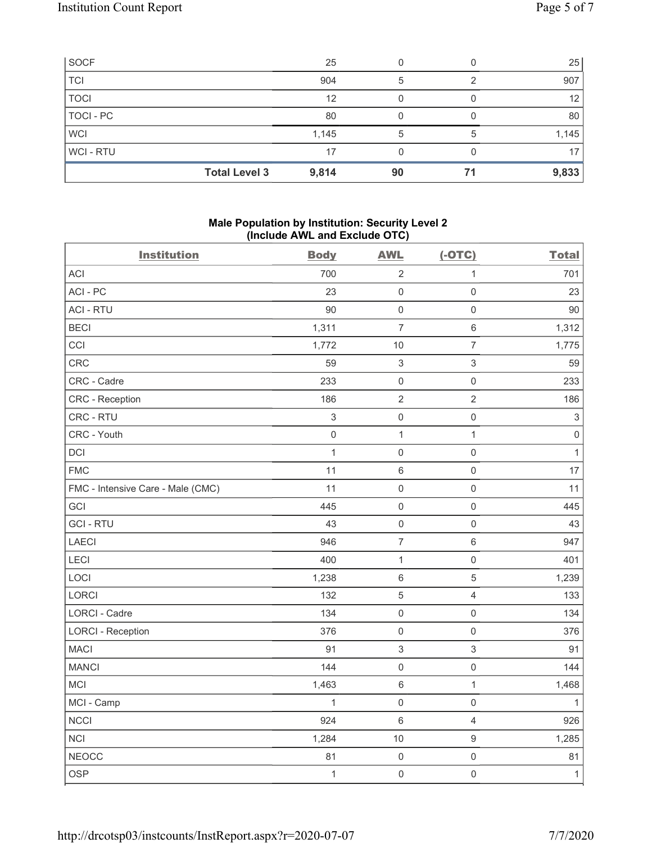| <b>SOCF</b>          | 25    |    |    | 25              |
|----------------------|-------|----|----|-----------------|
| <b>TCI</b>           | 904   | 5  |    | 907             |
| <b>TOCI</b>          | 12    |    |    | 12 <sub>1</sub> |
| TOCI - PC            | 80    |    |    | 80              |
| <b>WCI</b>           | 1,145 | 5  |    | 1,145           |
| WCI-RTU              | 17    |    |    | 17              |
| <b>Total Level 3</b> | 9,814 | 90 | 71 | 9,833           |

#### Male Population by Institution: Security Level 2 (Include AWL and Exclude OTC)

| <b>Institution</b>                | <b>Body</b>               | <b>AWL</b>          | $(-OTC)$                  | <b>Total</b>              |
|-----------------------------------|---------------------------|---------------------|---------------------------|---------------------------|
| <b>ACI</b>                        | 700                       | $\sqrt{2}$          | $\mathbf{1}$              | 701                       |
| ACI-PC                            | 23                        | $\mathsf{O}\xspace$ | $\mathsf 0$               | 23                        |
| <b>ACI - RTU</b>                  | 90                        | $\mathsf{O}\xspace$ | $\mathbf 0$               | 90                        |
| <b>BECI</b>                       | 1,311                     | $\overline{7}$      | $\,6\,$                   | 1,312                     |
| CCI                               | 1,772                     | $10$                | $\boldsymbol{7}$          | 1,775                     |
| CRC                               | 59                        | $\sqrt{3}$          | $\ensuremath{\mathsf{3}}$ | 59                        |
| CRC - Cadre                       | 233                       | $\mathsf 0$         | $\mathbf 0$               | 233                       |
| CRC - Reception                   | 186                       | $\overline{2}$      | $\overline{2}$            | 186                       |
| CRC - RTU                         | $\ensuremath{\mathsf{3}}$ | $\mathsf{O}\xspace$ | $\mathbf 0$               | $\ensuremath{\mathsf{3}}$ |
| CRC - Youth                       | $\mathsf{O}\xspace$       | $\mathbf{1}$        | $\mathbf{1}$              | $\mathbf 0$               |
| <b>DCI</b>                        | $\mathbf{1}$              | $\mathsf 0$         | $\mathsf 0$               | $\mathbf{1}$              |
| <b>FMC</b>                        | 11                        | $6\,$               | $\mathbf 0$               | 17                        |
| FMC - Intensive Care - Male (CMC) | 11                        | $\mathsf{O}\xspace$ | $\mathbf 0$               | 11                        |
| GCI                               | 445                       | $\mathsf 0$         | $\mathbf 0$               | 445                       |
| <b>GCI-RTU</b>                    | 43                        | $\mathbf 0$         | $\mathsf 0$               | 43                        |
| <b>LAECI</b>                      | 946                       | $\overline{7}$      | $\,6\,$                   | 947                       |
| LECI                              | 400                       | $\mathbf{1}$        | $\mathbf 0$               | 401                       |
| LOCI                              | 1,238                     | $\,6\,$             | $\overline{5}$            | 1,239                     |
| LORCI                             | 132                       | $\sqrt{5}$          | $\overline{4}$            | 133                       |
| <b>LORCI - Cadre</b>              | 134                       | $\mathsf 0$         | $\mathbf 0$               | 134                       |
| <b>LORCI - Reception</b>          | 376                       | $\mathsf 0$         | $\mathbf 0$               | 376                       |
| <b>MACI</b>                       | 91                        | $\sqrt{3}$          | $\mathsf 3$               | 91                        |
| <b>MANCI</b>                      | 144                       | $\mathsf 0$         | $\mathbf 0$               | 144                       |
| MCI                               | 1,463                     | $\,6\,$             | $\mathbf{1}$              | 1,468                     |
| MCI - Camp                        | $\mathbf{1}$              | $\mathsf 0$         | $\mathbf 0$               | $\mathbf{1}$              |
| <b>NCCI</b>                       | 924                       | $\,6\,$             | $\overline{4}$            | 926                       |
| <b>NCI</b>                        | 1,284                     | 10                  | $\boldsymbol{9}$          | 1,285                     |
| <b>NEOCC</b>                      | 81                        | $\mathsf 0$         | $\mathbf 0$               | 81                        |
| <b>OSP</b>                        | $\mathbf{1}$              | $\mathsf{O}\xspace$ | $\mathbf 0$               | $\overline{1}$            |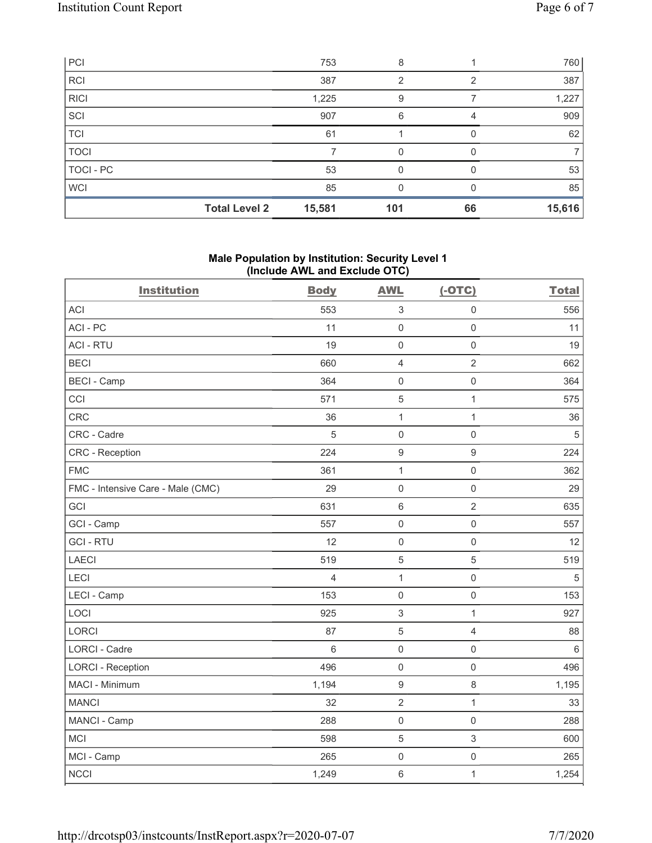| PC                   | 753    | 8   |    | 760    |
|----------------------|--------|-----|----|--------|
| <b>RCI</b>           | 387    | っ   | ⌒  | 387    |
| RICI                 | 1,225  | 9   |    | 1,227  |
| SCI                  | 907    | 6   |    | 909    |
| TCI                  | 61     |     |    | 62     |
| <b>TOCI</b>          |        | O   | ∩  |        |
| TOCI-PC              | 53     |     |    | 53     |
| <b>WCI</b>           | 85     |     |    | 85     |
| <b>Total Level 2</b> | 15,581 | 101 | 66 | 15,616 |

# Male Population by Institution: Security Level 1 (Include AWL and Exclude OTC)

| <b>Institution</b>                | <b>Body</b> | <b>AWL</b>                | $(-OTC)$                  | <b>Total</b> |
|-----------------------------------|-------------|---------------------------|---------------------------|--------------|
| <b>ACI</b>                        | 553         | 3                         | 0                         | 556          |
| ACI-PC                            | 11          | $\mathbf 0$               | $\mathbf 0$               | 11           |
| <b>ACI - RTU</b>                  | 19          | $\mathbf 0$               | $\mathbf 0$               | 19           |
| <b>BECI</b>                       | 660         | $\overline{4}$            | $\overline{2}$            | 662          |
| <b>BECI - Camp</b>                | 364         | $\mathsf{O}\xspace$       | $\mathbf 0$               | 364          |
| CCI                               | 571         | 5                         | $\mathbf{1}$              | 575          |
| CRC                               | 36          | $\mathbf{1}$              | $\mathbf{1}$              | 36           |
| CRC - Cadre                       | 5           | $\mathbf 0$               | $\mathbf 0$               | 5            |
| <b>CRC</b> - Reception            | 224         | $\boldsymbol{9}$          | $9\,$                     | 224          |
| <b>FMC</b>                        | 361         | $\mathbf{1}$              | $\mathbf 0$               | 362          |
| FMC - Intensive Care - Male (CMC) | 29          | $\mathsf{O}\xspace$       | $\mathbf 0$               | 29           |
| GCI                               | 631         | $\,6\,$                   | $\sqrt{2}$                | 635          |
| GCI - Camp                        | 557         | $\mathsf{O}\xspace$       | $\mathbf 0$               | 557          |
| <b>GCI-RTU</b>                    | 12          | $\mathsf{O}\xspace$       | $\mathsf{O}\xspace$       | 12           |
| <b>LAECI</b>                      | 519         | 5                         | 5                         | 519          |
| LECI                              | 4           | $\mathbf{1}$              | $\mathbf 0$               | 5            |
| LECI - Camp                       | 153         | $\mathsf{O}\xspace$       | $\mathbf 0$               | 153          |
| LOCI                              | 925         | $\ensuremath{\mathsf{3}}$ | 1                         | 927          |
| <b>LORCI</b>                      | 87          | 5                         | $\overline{4}$            | 88           |
| <b>LORCI - Cadre</b>              | 6           | $\mathbf 0$               | $\mathbf 0$               | $\,6\,$      |
| <b>LORCI - Reception</b>          | 496         | $\mathbf 0$               | $\mathbf 0$               | 496          |
| MACI - Minimum                    | 1,194       | $\boldsymbol{9}$          | $\,8\,$                   | 1,195        |
| <b>MANCI</b>                      | 32          | $\overline{2}$            | $\mathbf{1}$              | 33           |
| MANCI - Camp                      | 288         | $\mathbf 0$               | $\mathbf 0$               | 288          |
| MCI                               | 598         | 5                         | $\ensuremath{\mathsf{3}}$ | 600          |
| MCI - Camp                        | 265         | $\mathsf{O}\xspace$       | $\mathbf 0$               | 265          |
| <b>NCCI</b>                       | 1,249       | $\,6\,$                   | $\mathbf{1}$              | 1,254        |